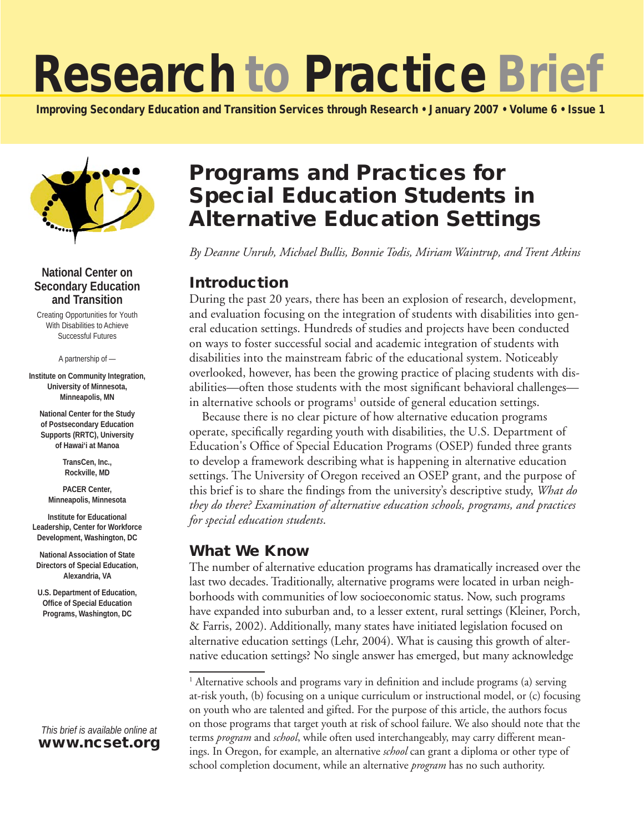# Research to Practice Brief

Improving Secondary Education and Transition Services through Research • January 2007 • Volume 6 • Issue 1



#### **National Center on Secondary Education and Transition**

Creating Opportunities for Youth With Disabilities to Achieve Successful Futures

A partnership of —

**Institute on Community Integration, University of Minnesota, Minneapolis, MN**

**National Center for the Study of Postsecondary Education Supports (RRTC), University of Hawai'i at Manoa**

> **TransCen, Inc., Rockville, MD**

**PACER Center, Minneapolis, Minnesota**

**Institute for Educational Leadership, Center for Workforce Development, Washington, DC**

**National Association of State Directors of Special Education, Alexandria, VA**

**U.S. Department of Education, Office of Special Education Programs, Washington, DC**

#### *This brief is available online at*  www.ncset.org

## Programs and Practices for Special Education Students in Alternative Education Settings

*By Deanne Unruh, Michael Bullis, Bonnie Todis, Miriam Waintrup, and Trent Atkins*

## Introduction

During the past 20 years, there has been an explosion of research, development, and evaluation focusing on the integration of students with disabilities into general education settings. Hundreds of studies and projects have been conducted on ways to foster successful social and academic integration of students with disabilities into the mainstream fabric of the educational system. Noticeably overlooked, however, has been the growing practice of placing students with disabilities—often those students with the most significant behavioral challenges in alternative schools or programs<sup>1</sup> outside of general education settings.

Because there is no clear picture of how alternative education programs operate, specifically regarding youth with disabilities, the U.S. Department of Education's Office of Special Education Programs (OSEP) funded three grants to develop a framework describing what is happening in alternative education settings. The University of Oregon received an OSEP grant, and the purpose of this brief is to share the findings from the university's descriptive study, *What do they do there? Examination of alternative education schools, programs, and practices for special education students*.

## What We Know

The number of alternative education programs has dramatically increased over the last two decades. Traditionally, alternative programs were located in urban neighborhoods with communities of low socioeconomic status. Now, such programs have expanded into suburban and, to a lesser extent, rural settings (Kleiner, Porch, & Farris, 2002). Additionally, many states have initiated legislation focused on alternative education settings (Lehr, 2004). What is causing this growth of alternative education settings? No single answer has emerged, but many acknowledge

<sup>&</sup>lt;sup>1</sup> Alternative schools and programs vary in definition and include programs (a) serving at-risk youth, (b) focusing on a unique curriculum or instructional model, or (c) focusing on youth who are talented and gifted. For the purpose of this article, the authors focus on those programs that target youth at risk of school failure. We also should note that the terms *program* and *school*, while often used interchangeably, may carry different meanings. In Oregon, for example, an alternative *school* can grant a diploma or other type of school completion document, while an alternative *program* has no such authority.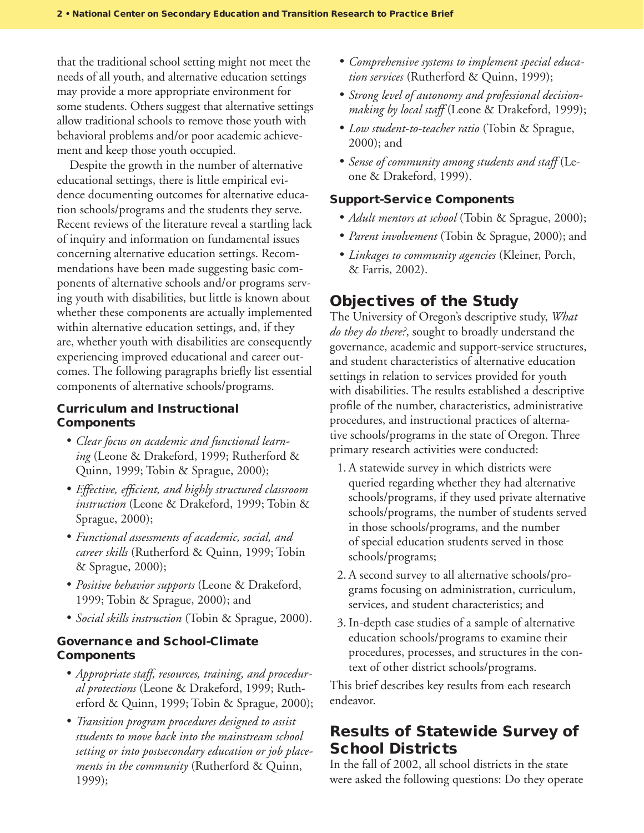that the traditional school setting might not meet the needs of all youth, and alternative education settings may provide a more appropriate environment for some students. Others suggest that alternative settings allow traditional schools to remove those youth with behavioral problems and/or poor academic achievement and keep those youth occupied.

Despite the growth in the number of alternative educational settings, there is little empirical evidence documenting outcomes for alternative education schools/programs and the students they serve. Recent reviews of the literature reveal a startling lack of inquiry and information on fundamental issues concerning alternative education settings. Recommendations have been made suggesting basic components of alternative schools and/or programs serving youth with disabilities, but little is known about whether these components are actually implemented within alternative education settings, and, if they are, whether youth with disabilities are consequently experiencing improved educational and career outcomes. The following paragraphs briefly list essential components of alternative schools/programs.

#### Curriculum and Instructional **Components**

- • *Clear focus on academic and functional learning* (Leone & Drakeford, 1999; Rutherford & Quinn, 1999; Tobin & Sprague, 2000);
- • *Effective, efficient, and highly structured classroom instruction* (Leone & Drakeford, 1999; Tobin & Sprague, 2000);
- • *Functional assessments of academic, social, and career skills* (Rutherford & Quinn, 1999; Tobin & Sprague, 2000);
- • *Positive behavior supports* (Leone & Drakeford, 1999; Tobin & Sprague, 2000); and
- • *Social skills instruction* (Tobin & Sprague, 2000).

#### Governance and School-Climate **Components**

- • *Appropriate staff, resources, training, and procedural protections* (Leone & Drakeford, 1999; Rutherford & Quinn, 1999; Tobin & Sprague, 2000);
- • *Transition program procedures designed to assist students to move back into the mainstream school setting or into postsecondary education or job placements in the community* (Rutherford & Quinn, 1999);
- • *Comprehensive systems to implement special education services* (Rutherford & Quinn, 1999);
- • *Strong level of autonomy and professional decisionmaking by local staff* (Leone & Drakeford, 1999);
- • *Low student-to-teacher ratio* (Tobin & Sprague, 2000); and
- • *Sense of community among students and staff* (Leone & Drakeford, 1999).

#### Support-Service Components

- *Adult mentors at school* (Tobin & Sprague, 2000);
- • *Parent involvement* (Tobin & Sprague, 2000); and
- • *Linkages to community agencies* (Kleiner, Porch, & Farris, 2002).

## Objectives of the Study

The University of Oregon's descriptive study, *What do they do there?*, sought to broadly understand the governance, academic and support-service structures, and student characteristics of alternative education settings in relation to services provided for youth with disabilities. The results established a descriptive profile of the number, characteristics, administrative procedures, and instructional practices of alternative schools/programs in the state of Oregon. Three primary research activities were conducted:

- 1. A statewide survey in which districts were queried regarding whether they had alternative schools/programs, if they used private alternative schools/programs, the number of students served in those schools/programs, and the number of special education students served in those schools/programs;
- 2. A second survey to all alternative schools/programs focusing on administration, curriculum, services, and student characteristics; and
- 3.In-depth case studies of a sample of alternative education schools/programs to examine their procedures, processes, and structures in the context of other district schools/programs.

This brief describes key results from each research endeavor.

## Results of Statewide Survey of School Districts

In the fall of 2002, all school districts in the state were asked the following questions: Do they operate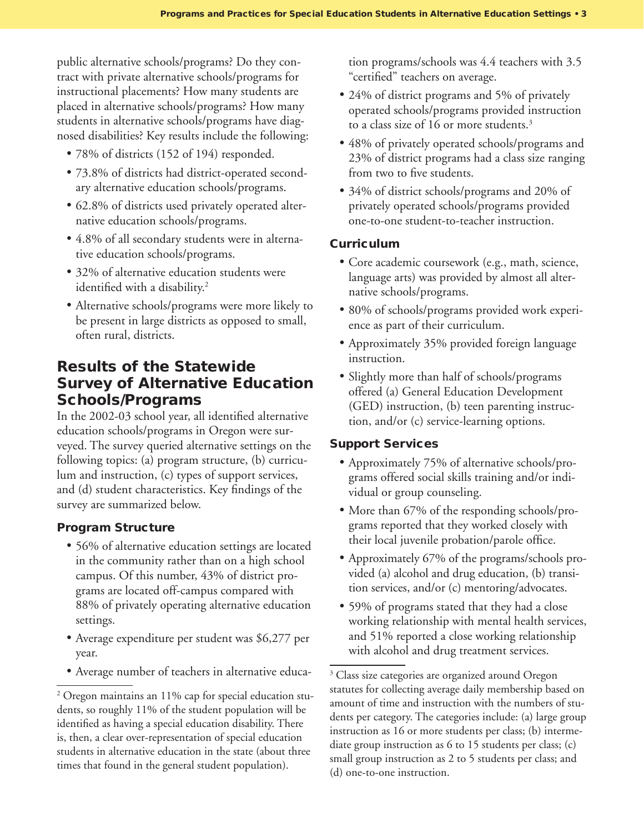public alternative schools/programs? Do they contract with private alternative schools/programs for instructional placements? How many students are placed in alternative schools/programs? How many students in alternative schools/programs have diagnosed disabilities? Key results include the following:

- 78% of districts (152 of 194) responded.
- 73.8% of districts had district-operated secondary alternative education schools/programs.
- 62.8% of districts used privately operated alternative education schools/programs.
- 4.8% of all secondary students were in alternative education schools/programs.
- 32% of alternative education students were identified with a disability.
- Alternative schools/programs were more likely to be present in large districts as opposed to small, often rural, districts.

## Results of the Statewide Survey of Alternative Education Schools/Programs

In the 2002-03 school year, all identified alternative education schools/programs in Oregon were surveyed. The survey queried alternative settings on the following topics: (a) program structure, (b) curriculum and instruction, (c) types of support services, and (d) student characteristics. Key findings of the survey are summarized below.

#### Program Structure

- 56% of alternative education settings are located in the community rather than on a high school campus. Of this number, 43% of district programs are located off-campus compared with 88% of privately operating alternative education settings.
- Average expenditure per student was \$6,277 per year.
- Average number of teachers in alternative educa-

tion programs/schools was 4.4 teachers with 3.5 "certified" teachers on average.

- 24% of district programs and 5% of privately operated schools/programs provided instruction to a class size of 16 or more students.
- 48% of privately operated schools/programs and 23% of district programs had a class size ranging from two to five students.
- 34% of district schools/programs and 20% of privately operated schools/programs provided one-to-one student-to-teacher instruction.

#### **Curriculum**

- Core academic coursework (e.g., math, science, language arts) was provided by almost all alternative schools/programs.
- 80% of schools/programs provided work experience as part of their curriculum.
- Approximately 35% provided foreign language instruction.
- Slightly more than half of schools/programs offered (a) General Education Development (GED) instruction, (b) teen parenting instruction, and/or (c) service-learning options.

#### Support Services

- Approximately 75% of alternative schools/programs offered social skills training and/or individual or group counseling.
- More than 67% of the responding schools/programs reported that they worked closely with their local juvenile probation/parole office.
- Approximately 67% of the programs/schools provided (a) alcohol and drug education, (b) transition services, and/or (c) mentoring/advocates.
- 59% of programs stated that they had a close working relationship with mental health services, and 51% reported a close working relationship with alcohol and drug treatment services.

<sup>&</sup>lt;sup>2</sup> Oregon maintains an 11% cap for special education students, so roughly 11% of the student population will be identified as having a special education disability. There is, then, a clear over-representation of special education students in alternative education in the state (about three times that found in the general student population).

<sup>&</sup>lt;sup>3</sup> Class size categories are organized around Oregon statutes for collecting average daily membership based on amount of time and instruction with the numbers of students per category. The categories include: (a) large group instruction as 16 or more students per class; (b) intermediate group instruction as 6 to 15 students per class; (c) small group instruction as 2 to 5 students per class; and (d) one-to-one instruction.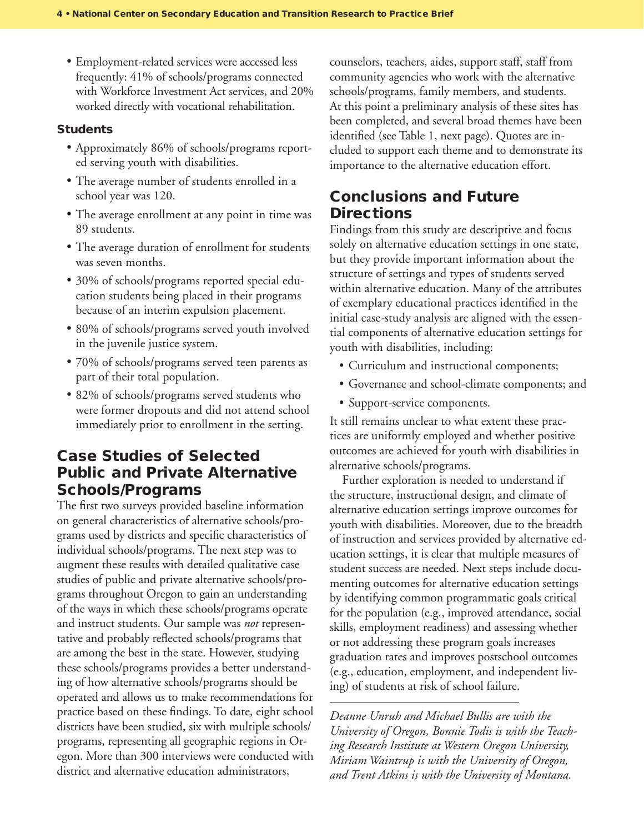• Employment-related services were accessed less frequently: 41% of schools/programs connected with Workforce Investment Act services, and 20% worked directly with vocational rehabilitation.

#### Students

- • Approximately 86% of schools/programs reported serving youth with disabilities.
- The average number of students enrolled in a school year was 120.
- The average enrollment at any point in time was 89 students.
- The average duration of enrollment for students was seven months.
- 30% of schools/programs reported special education students being placed in their programs because of an interim expulsion placement.
- • 80% of schools/programs served youth involved in the juvenile justice system.
- 70% of schools/programs served teen parents as part of their total population.
- 82% of schools/programs served students who were former dropouts and did not attend school immediately prior to enrollment in the setting.

## Case Studies of Selected Public and Private Alternative Schools/Programs

The first two surveys provided baseline information on general characteristics of alternative schools/programs used by districts and specific characteristics of individual schools/programs. The next step was to augment these results with detailed qualitative case studies of public and private alternative schools/programs throughout Oregon to gain an understanding of the ways in which these schools/programs operate and instruct students. Our sample was *not* representative and probably reflected schools/programs that are among the best in the state. However, studying these schools/programs provides a better understanding of how alternative schools/programs should be operated and allows us to make recommendations for practice based on these findings. To date, eight school districts have been studied, six with multiple schools/ programs, representing all geographic regions in Oregon. More than 300 interviews were conducted with district and alternative education administrators,

counselors, teachers, aides, support staff, staff from community agencies who work with the alternative schools/programs, family members, and students. At this point a preliminary analysis of these sites has been completed, and several broad themes have been identified (see Table 1, next page). Quotes are included to support each theme and to demonstrate its importance to the alternative education effort.

## Conclusions and Future **Directions**

Findings from this study are descriptive and focus solely on alternative education settings in one state, but they provide important information about the structure of settings and types of students served within alternative education. Many of the attributes of exemplary educational practices identified in the initial case-study analysis are aligned with the essential components of alternative education settings for youth with disabilities, including:

- Curriculum and instructional components;
- Governance and school-climate components; and
- Support-service components.

It still remains unclear to what extent these practices are uniformly employed and whether positive outcomes are achieved for youth with disabilities in alternative schools/programs.

Further exploration is needed to understand if the structure, instructional design, and climate of alternative education settings improve outcomes for youth with disabilities. Moreover, due to the breadth of instruction and services provided by alternative education settings, it is clear that multiple measures of student success are needed. Next steps include documenting outcomes for alternative education settings by identifying common programmatic goals critical for the population (e.g., improved attendance, social skills, employment readiness) and assessing whether or not addressing these program goals increases graduation rates and improves postschool outcomes (e.g., education, employment, and independent living) of students at risk of school failure.

*Deanne Unruh and Michael Bullis are with the University of Oregon, Bonnie Todis is with the Teaching Research Institute at Western Oregon University, Miriam Waintrup is with the University of Oregon, and Trent Atkins is with the University of Montana.*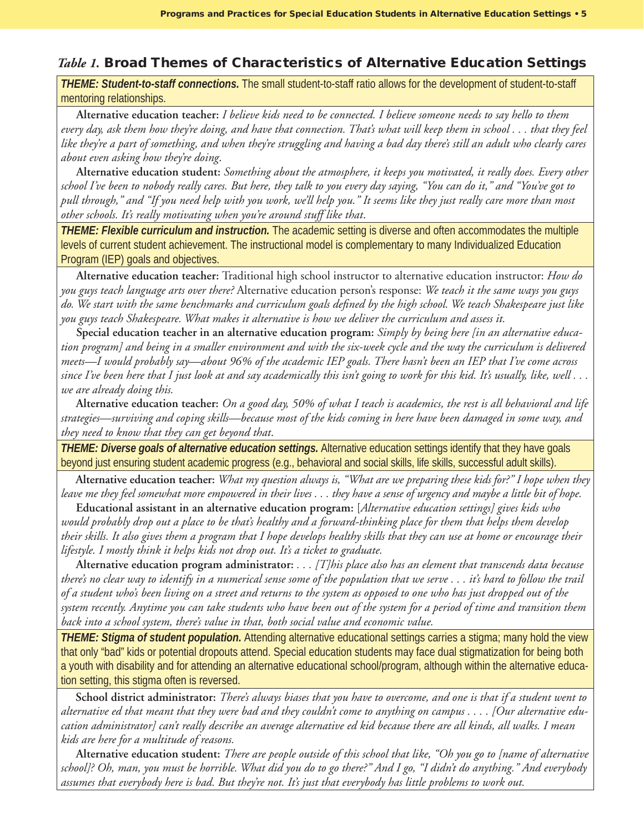### *Table 1.* Broad Themes of Characteristics of Alternative Education Settings

*THEME: Student-to-staff connections.* The small student-to-staff ratio allows for the development of student-to-staff mentoring relationships.

 **Alternative education teacher:** *I believe kids need to be connected. I believe someone needs to say hello to them every day, ask them how they're doing, and have that connection. That's what will keep them in school . . . that they feel like they're a part of something, and when they're struggling and having a bad day there's still an adult who clearly cares about even asking how they're doing*.

 **Alternative education student:** *Something about the atmosphere, it keeps you motivated, it really does. Every other school I've been to nobody really cares. But here, they talk to you every day saying, "You can do it," and "You've got to pull through," and "If you need help with you work, we'll help you." It seems like they just really care more than most other schools. It's really motivating when you're around stuff like that*.

*THEME: Flexible curriculum and instruction.* The academic setting is diverse and often accommodates the multiple levels of current student achievement. The instructional model is complementary to many Individualized Education Program (IEP) goals and objectives.

 **Alternative education teacher:** Traditional high school instructor to alternative education instructor: *How do you guys teach language arts over there?* Alternative education person's response: *We teach it the same ways you guys do. We start with the same benchmarks and curriculum goals defined by the high school. We teach Shakespeare just like you guys teach Shakespeare. What makes it alternative is how we deliver the curriculum and assess it.*

 **Special education teacher in an alternative education program:** *Simply by being here [in an alternative education program] and being in a smaller environment and with the six-week cycle and the way the curriculum is delivered meets—I would probably say—about 96% of the academic IEP goals. There hasn't been an IEP that I've come across since I've been here that I just look at and say academically this isn't going to work for this kid. It's usually, like, well . . . we are already doing this.* 

**Alternative education teacher:** *On a good day, 50% of what I teach is academics, the rest is all behavioral and life strategies—surviving and coping skills—because most of the kids coming in here have been damaged in some way, and they need to know that they can get beyond that*.

*THEME: Diverse goals of alternative education settings.* Alternative education settings identify that they have goals beyond just ensuring student academic progress (e.g., behavioral and social skills, life skills, successful adult skills).

**Alternative education teacher:** *What my question always is, "What are we preparing these kids for?" I hope when they leave me they feel somewhat more empowered in their lives . . . they have a sense of urgency and maybe a little bit of hope.*

 **Educational assistant in an alternative education program:** [*Alternative education settings] gives kids who would probably drop out a place to be that's healthy and a forward-thinking place for them that helps them develop their skills. It also gives them a program that I hope develops healthy skills that they can use at home or encourage their lifestyle. I mostly think it helps kids not drop out. It's a ticket to graduate.*

**Alternative education program administrator:** *. . . [T]his place also has an element that transcends data because there's no clear way to identify in a numerical sense some of the population that we serve . . . it's hard to follow the trail of a student who's been living on a street and returns to the system as opposed to one who has just dropped out of the system recently. Anytime you can take students who have been out of the system for a period of time and transition them back into a school system, there's value in that, both social value and economic value.* 

*THEME: Stigma of student population.* Attending alternative educational settings carries a stigma; many hold the view that only "bad" kids or potential dropouts attend. Special education students may face dual stigmatization for being both a youth with disability and for attending an alternative educational school/program, although within the alternative education setting, this stigma often is reversed.

**School district administrator:** *There's always biases that you have to overcome, and one is that if a student went to alternative ed that meant that they were bad and they couldn't come to anything on campus . . . . [Our alternative education administrator] can't really describe an average alternative ed kid because there are all kinds, all walks. I mean kids are here for a multitude of reasons.*

**Alternative education student:** *There are people outside of this school that like, "Oh you go to [name of alternative school]? Oh, man, you must be horrible. What did you do to go there?" And I go, "I didn't do anything." And everybody assumes that everybody here is bad. But they're not. It's just that everybody has little problems to work out.*